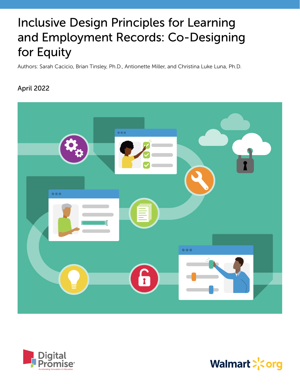# Inclusive Design Principles for Learning and Employment Records: Co-Designing for Equity

Authors: Sarah Cacicio, Brian Tinsley, Ph.D., Antionette Miller, and Christina Luke Luna, Ph.D.

# April 2022





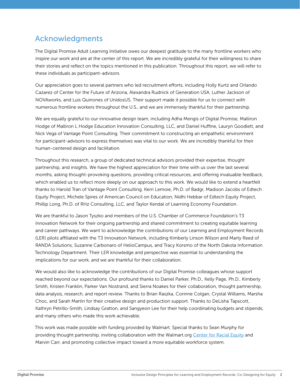# Acknowledgments

The Digital Promise Adult Learning Initiative owes our deepest gratitude to the many frontline workers who inspire our work and are at the center of this report. We are incredibly grateful for their willingness to share their stories and reflect on the topics mentioned in this publication. Throughout this report, we will refer to these individuals as participant-advisors.

Our appreciation goes to several partners who led recruitment efforts, including Holly Kurtz and Orlando Cazarez of Center for the Future of Arizona, Alexandra Rudnick of Generation USA, Luther Jackson of NOVAworks, and Luis Quinones of UnidosUS. Their support made it possible for us to connect with numerous frontline workers throughout the U.S., and we are immensely thankful for their partnership.

We are equally grateful to our innovative design team, including Adha Mengis of Digital Promise, Malliron Hodge of Malliron L Hodge Education Innovation Consulting, LLC, and Daniel Huffine, Lauryn Goodlett, and Nick Vega of Vantage Point Consulting. Their commitment to constructing an empathetic environment for participant-advisors to express themselves was vital to our work. We are incredibly thankful for their human-centered design and facilitation.

Throughout this research, a group of dedicated technical advisors provided their expertise, thought partnership, and insights. We have the highest appreciation for their time with us over the last several months, asking thought-provoking questions, providing critical resources, and offering invaluable feedback, which enabled us to reflect more deeply on our approach to this work. We would like to extend a heartfelt thanks to Harold Tran of Vantage Point Consulting, Kerri Lemoie, Ph.D. of Badgr, Madison Jacobs of Edtech Equity Project, Michele Spires of American Council on Education, Nidhi Hebbar of Edtech Equity Project, Phillip Long, Ph.D. of RHz Consulting, LLC, and Taylor Kendal of Learning Economy Foundation.

We are thankful to Jason Tyszko and members of the U.S. Chamber of Commerce Foundation's T3 Innovation Network for their ongoing partnership and shared commitment to creating equitable learning and career pathways. We want to acknowledge the contributions of our Learning and Employment Records (LER) pilots affiliated with the T3 Innovation Network, including Kimberly Linson Wilson and Marty Reed of RANDA Solutions, Suzanne Carbonaro of HelioCampus, and Tracy Korsmo of the North Dakota Information Technology Department. Their LER knowledge and perspective was essential to understanding the implications for our work, and we are thankful for their collaboration.

We would also like to acknowledge the contributions of our Digital Promise colleagues whose support reached beyond our expectations. Our profound thanks to Daniel Parker, Ph.D., Kelly Page, Ph.D., Kimberly Smith, Kristen Franklin, Parker Van Nostrand, and Sierra Noakes for their collaboration, thought partnership, data analysis, research, and report review. Thanks to Brian Raszka, Corinne Colgan, Crystal Williams, Marsha Choc, and Sarah Martin for their creative design and production support. Thanks to DeLisha Tapscott, Kathryn Petrillo-Smith, Lindsay Gratton, and Sangyeon Lee for their help coordinating budgets and stipends, and many others who made this work achievable.

This work was made possible with funding provided by Walmart. Special thanks to Sean Murphy for providing thought partnership, inviting collaboration with the Walmart.org [Center for Racial Equity](https://walmart.org/diversity-equity-and-inclusion/center-for-racial-equity) and Marvin Carr, and promoting collective impact toward a more equitable workforce system.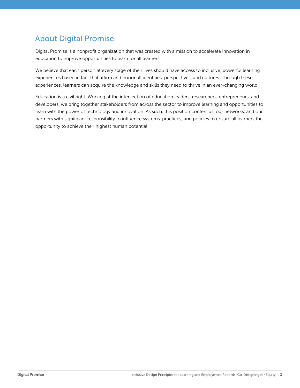# About Digital Promise

Digital Promise is a nonprofit organization that was created with a mission to accelerate innovation in education to improve opportunities to learn for all learners.

We believe that each person at every stage of their lives should have access to inclusive, powerful learning experiences based in fact that affirm and honor all identities, perspectives, and cultures. Through these experiences, learners can acquire the knowledge and skills they need to thrive in an ever-changing world.

Education is a civil right. Working at the intersection of education leaders, researchers, entrepreneurs, and developers, we bring together stakeholders from across the sector to improve learning and opportunities to learn with the power of technology and innovation. As such, this position confers us, our networks, and our partners with significant responsibility to influence systems, practices, and policies to ensure all learners the opportunity to achieve their highest human potential.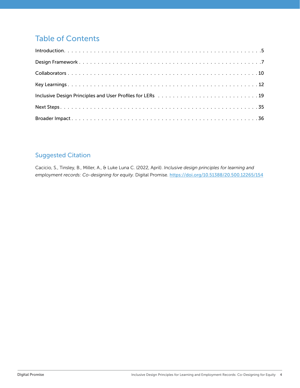# Table of Contents

# Suggested Citation

Cacicio, S., Tinsley, B., Miller, A., & Luke Luna C. (2022, April). *Inclusive design principles for learning and employment records: Co-designing for equity.* Digital Promise. <https://doi.org/10.51388/20.500.12265/154>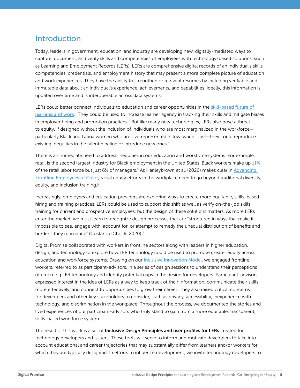# <span id="page-4-0"></span>Introduction

Today, leaders in government, education, and industry are developing new, digitally-mediated ways to capture, document, and verify skills and competencies of employees with technology-based solutions, such as Learning and Employment Records (LERs). LERs are comprehensive digital records of an individual's skills, competencies, credentials, and employment history that may present a more complete picture of education and work experiences. They have the ability to strengthen or reinvent resumes by including verifiable and immutable data about an individual's experience, achievements, and capabilities. Ideally, this information is updated over time and is interoperable across data systems.

LERs could better connect individuals to education and career opportunities in the skill-based future of [learning and work](https://www.economicmodeling.com/wp-content/uploads/2021/08/Skills-Required-EBG.pdf).<sup>[1](#page-36-0)</sup> They could be used to increase learner agency in tracking their skills and mitigate biases in employer hiring and promotion practices.<sup>[2](#page-36-0)</sup> But like many new technologies, LERs also pose a threat to equity. If designed without the inclusion of individuals who are most marginalized in the workforce— particularly Black and Latina women who are overrepresented in low-wage jobs<sup>[3](#page-36-0)</sup>—they could reproduce existing inequities in the talent pipeline or introduce new ones. $4$ 

There is an immediate need to address inequities in our education and workforce systems. For example, retail is the second largest industry for Black employment in the United States. Black workers make up [11%](http://www.demos.org/sites/default/files/publications/The%20Retail%20Race%20Divide%20Report.pdf) of the retail labor force but just 6% of managers.<sup>[5](#page-36-0)</sup> As Hanleybrown et al. (2020) makes clear in <u>Advancing</u> [Frontline Employees of Color](https://www.fsg.org/resource/advancing-frontline-employees-color/#:~:text=Advancing%20Frontline%20Employees%20of%20Color%2C%20written%20in%20partnership%20with%20PolicyLink,feel%20valued%20and%20can%20thrive.), racial equity efforts in the workplace need to go beyond traditional diversity, equity, and inclusion training.<sup>[6](#page-36-0)</sup>

Increasingly, employers and education providers are exploring ways to create more equitable, skills-based hiring and training practices. LERs could be used to support this shift as well as verify on-the-job skills training for current and prospective employees, but the design of these solutions matters. As more LERs enter the market, we must learn to recognize design processes that are "structured in ways that make it impossible to see, engage with, account for, or attempt to remedy the unequal distribution of benefits and burdens they reproduce" (Costanza-Chock, 2020).<sup>[7](#page-36-0)</sup>

Digital Promise collaborated with workers in frontline sectors along with leaders in higher education, design, and technology to explore how LER technology could be used to promote greater equity across education and workforce systems. Drawing on our [Inclusive Innovation Model](https://digitalpromise.org/wp-content/uploads/2019/11/Designing-a-Process-for-Inclusive-Innovation.pdf), we engaged frontline workers, referred to as participant-advisors, in a series of design sessions to understand their perceptions of emerging LER technology and identify potential gaps in the design for developers. Participant-advisors expressed interest in the idea of LERs as a way to keep track of their information, communicate their skills more effectively, and connect to opportunities to grow their career. They also raised critical concerns for developers and other key stakeholders to consider, such as privacy, accessibility, inexperience with technology, and discrimination in the workplace. Throughout the process, we documented the stories and lived experiences of our participant-advisors who truly stand to gain from a more equitable, transparent, skills-based workforce system.

The result of this work is a set of **Inclusive Design Principles and user profiles for LERs** created for technology developers and issuers. These tools will serve to inform and motivate developers to take into account educational and career trajectories that may substantially differ from learners and/or workers for which they are typically designing. In efforts to influence development, we invite technology developers to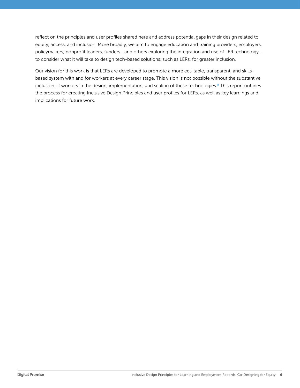<span id="page-5-0"></span>reflect on the principles and user profiles shared here and address potential gaps in their design related to equity, access, and inclusion. More broadly, we aim to engage education and training providers, employers, policymakers, nonprofit leaders, funders—and others exploring the integration and use of LER technology to consider what it will take to design tech-based solutions, such as LERs, for greater inclusion.

Our vision for this work is that LERs are developed to promote a more equitable, transparent, and skillsbased system with and for workers at every career stage. This vision is not possible without the substantive inclusion of workers in the design, implementation, and scaling of these technologies.<sup>[8](#page-36-0)</sup> This report outlines the process for creating Inclusive Design Principles and user profiles for LERs, as well as key learnings and implications for future work.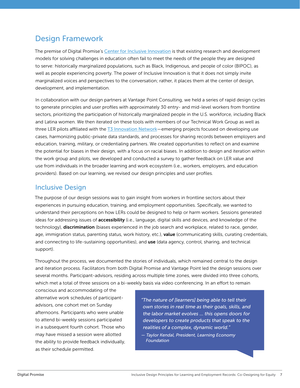# <span id="page-6-0"></span>Design Framework

The premise of Digital Promise's [Center for Inclusive Innovation](https://digitalpromise.org/inclusive-innovation/) is that existing research and development models for solving challenges in education often fail to meet the needs of the people they are designed to serve: historically marginalized populations, such as Black, Indigenous, and people of color (BIPOC), as well as people experiencing poverty. The power of Inclusive Innovation is that it does not simply invite marginalized voices and perspectives to the conversation; rather, it places them at the center of design, development, and implementation.

In collaboration with our design partners at Vantage Point Consulting, we held a series of rapid design cycles to generate principles and user profiles with approximately 30 entry- and mid-level workers from frontline sectors, prioritizing the participation of historically marginalized people in the U.S. workforce, including Black and Latina women. We then iterated on these tools with members of our Technical Work Group as well as three LER pilots affiliated with the [T3 Innovation Network](https://www.t3networkhub.org/)—emerging projects focused on developing use cases, harmonizing public-private data standards, and processes for sharing records between employers and education, training, military, or credentialing partners. We created opportunities to reflect on and examine the potential for biases in their design, with a focus on racial biases. In addition to design and iteration within the work group and pilots, we developed and conducted a survey to gather feedback on LER value and use from individuals in the broader learning and work ecosystem (i.e., workers, employers, and education providers). Based on our learning, we revised our design principles and user profiles.

# Inclusive Design

The purpose of our design sessions was to gain insight from workers in frontline sectors about their experiences in pursuing education, training, and employment opportunities. Specifically, we wanted to understand their perceptions on how LERs could be designed to help or harm workers. Sessions generated ideas for addressing issues of **accessibility** (i.e., language, digital skills and devices, and knowledge of the technology), discrimination (biases experienced in the job search and workplace, related to race, gender, age, immigration status, parenting status, work history, etc.), value (communicating skills, curating credentials, and connecting to life-sustaining opportunities), and use (data agency, control, sharing, and technical support).

Throughout the process, we documented the stories of individuals, which remained central to the design and iteration process. Facilitators from both Digital Promise and Vantage Point led the design sessions over several months. Participant-advisors, residing across multiple time zones, were divided into three cohorts, which met a total of three sessions on a bi-weekly basis via video conferencing. In an effort to remain

conscious and accommodating of the alternative work schedules of participantadvisors, one cohort met on Sunday afternoons. Participants who were unable to attend bi-weekly sessions participated in a subsequent fourth cohort. Those who may have missed a session were allotted the ability to provide feedback individually, as their schedule permitted.

*"The nature of [learners] being able to tell their own stories in real time as their goals, skills, and the labor market evolves … this opens doors for developers to create products that speak to the realities of a complex, dynamic world."* 

*— Taylor Kendal, President, Learning Economy Foundation*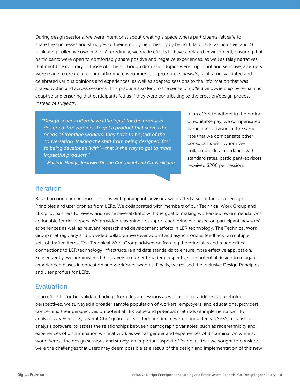During design sessions, we were intentional about creating a space where participants felt safe to share the successes and struggles of their employment history by being 1) laid back, 2) inclusive, and 3) facilitating collective ownership. Accordingly, we made efforts to have a relaxed environment, ensuring that participants were open to comfortably share positive and negative experiences, as well as relay narratives that might be contrary to those of others. Though discussion topics were important and sensitive, attempts were made to create a fun and affirming environment. To promote *inclusivity*, facilitators validated and celebrated various opinions and experiences, as well as adapted sessions to the information that was shared within and across sessions. This practice also lent to the sense of *collective ownership* by remaining adaptive and ensuring that participants felt as if they were contributing to the creation/design process, instead of *subjects*.

*"Design spaces often have little input for the products designed 'for' workers. To get a product that serves the needs of frontline workers, they have to be part of the conversation. Making the shift from being designed 'for' to being developed 'with'—that is the way to get to more impactful products."* 

*— Malliron Hodge, Inclusive Design Consultant and Co-Facilitator*

In an effort to adhere to the notion of equitable pay, we compensated participant-advisors at the same rate that we compensate other consultants with whom we collaborate. In accordance with standard rates, participant-advisors received \$200 per session.

### **Iteration**

Based on our learning from sessions with participant-advisors, we drafted a set of Inclusive Design Principles and user profiles from LERs. We collaborated with members of our Technical Work Group and LER pilot partners to review and revise several drafts with the goal of making worker-led recommendations actionable for developers. We provided reasoning to support each principle based on participant-advisors' experiences as well as relevant research and development efforts in LER technology. The Technical Work Group met regularly and provided collaborative (over Zoom) and asynchronous feedback on multiple sets of drafted items. The Technical Work Group advised on framing the principles and made critical connections to LER technology infrastructure and data standards to ensure more effective application. Subsequently, we administered the survey to gather broader perspectives on potential design to mitigate experienced biases in education and workforce systems. Finally, we revised the Inclusive Design Principles and user profiles for LERs.

### Evaluation

In an effort to further validate findings from design sessions as well as solicit additional stakeholder perspectives, we surveyed a broader sample population of workers, employers, and educational providers concerning their perspectives on potential LER value and potential methods of implementation. To analyze survey results, several Chi-Square Tests of Independence were conducted via SPSS, a statistical analysis software, to assess the relationships between demographic variables, such as race/ethnicity and experiences of discrimination while at work as well as gender and experiences of discrimination while at work. Across the design sessions and survey, an important aspect of feedback that we sought to consider were the challenges that users may deem possible as a result of the design and implementation of this new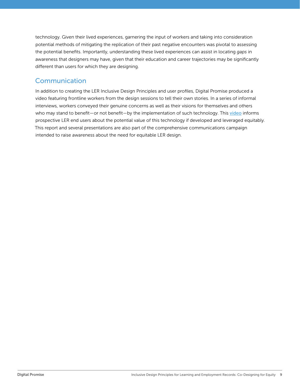technology. Given their lived experiences, garnering the input of workers and taking into consideration potential methods of mitigating the replication of their past negative encounters was pivotal to assessing the potential benefits. Importantly, understanding these lived experiences can assist in locating *gaps* in awareness that designers may have, given that their education and career trajectories may be significantly different than users for which they are designing.

# Communication

In addition to creating the LER Inclusive Design Principles and user profiles, Digital Promise produced a video featuring frontline workers from the design sessions to tell their own stories. In a series of informal interviews, workers conveyed their genuine concerns as well as their visions for themselves and others who may stand to benefit—or not benefit—by the implementation of such technology. This [video](https://www.youtube.com/watch?v=_nWjPj0Boic) informs prospective LER end users about the potential value of this technology if developed and leveraged equitably. This report and several presentations are also part of the comprehensive communications campaign intended to raise awareness about the need for equitable LER design.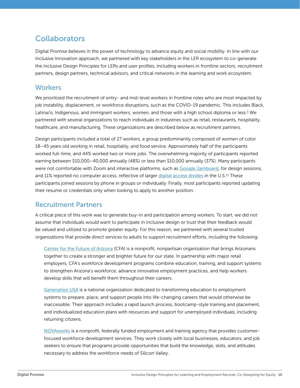# <span id="page-9-0"></span>**Collaborators**

Digital Promise believes in the power of technology to advance equity and social mobility. In line with our Inclusive Innovation approach, we partnered with key stakeholders in the LER ecosystem to co-generate the Inclusive Design Principles for LERs and user profiles, including workers in frontline sectors, recruitment partners, design partners, technical advisors, and critical networks in the learning and work ecosystem.

### **Workers**

We prioritized the recruitment of entry- and mid-level workers in frontline roles who are most impacted by job instability, displacement, or workforce disruptions, such as the COVID-19 pandemic. This includes Black, Latina/o, Indigenous, and immigrant workers, women, and those with a high school diploma or less.<sup>[9](#page-36-0)</sup> We partnered with several organizations to reach individuals in industries such as retail, restaurants, hospitality, healthcare, and manufacturing. These organizations are described below as recruitment partners.

Design participants included a total of 27 workers, a group predominantly composed of women of color 18–45 years old working in retail, hospitality, and food service. Approximately half of the participants worked full-time, and 44% worked two or more jobs. The overwhelming majority of participants reported earning between \$10,000–40,000 annually (48%) or less than \$10,000 annually (37%). Many participants were not comfortable with Zoom and interactive platforms, such as [Google Jamboard](https://workspace.google.com/products/jamboard/), for design sessions, and 11% reported no computer access, reflective of larger [digital access divides](https://digitalus.org/) in the U.S.<sup>[10](#page-36-0)</sup> These participants joined sessions by phone in groups or individually. Finally, most participants reported updating their resume or credentials only when looking to apply to another position.

### Recruitment Partners

A critical piece of this work was to generate buy-in and participation among workers. To start, we did not assume that individuals would want to participate in inclusive design or trust that their feedback would be valued and utilized to promote greater equity. For this reason, we partnered with several trusted organizations that provide direct services to adults to support recruitment efforts, including the following:

[Center for the Future of Arizona](https://www.arizonafuture.org/) (CFA) is a nonprofit, nonpartisan organization that brings Arizonans together to create a stronger and brighter future for our state. In partnership with major retail employers, CFA's workforce development programs combine education, training, and support systems to strengthen Arizona's workforce, advance innovative employment practices, and help workers develop skills that will benefit them throughout their careers.

[Generation USA](https://usa.generation.org/about/) is a national organization dedicated to transforming education to employment systems to prepare, place, and support people into life-changing careers that would otherwise be inaccessible. Their approach includes a rapid launch process, bootcamp-style training and placement, and individualized education plans with resources and support for unemployed individuals, including returning citizens.

[NOVAworks](https://novaworks.org/about/novaworks/overview) is a nonprofit, federally funded employment and training agency that provides customerfocused workforce development services. They work closely with local businesses, educators, and job seekers to ensure that programs provide opportunities that build the knowledge, skills, and attitudes necessary to address the workforce needs of Silicon Valley.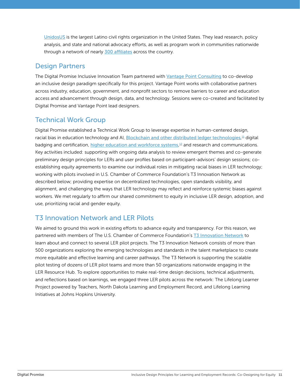<span id="page-10-0"></span>[UnidosUS](https://www.unidosus.org/) is the largest Latino civil rights organization in the United States. They lead research, policy analysis, and state and national advocacy efforts, as well as program work in communities nationwide through a network of nearly [300 affiliates](https://www.unidosus.org/about/affiliates/) across the country.

# Design Partners

The Digital Promise Inclusive Innovation Team partnered with [Vantage Point Consulting](https://www.vantagepoint-inc.com/who-we-are) to co-develop an inclusive design paradigm specifically for this project. Vantage Point works with collaborative partners across industry, education, government, and nonprofit sectors to remove barriers to career and education access and advancement through design, data, and technology. Sessions were co-created and facilitated by Digital Promise and Vantage Point lead designers.

# Technical Work Group

Digital Promise established a Technical Work Group to leverage expertise in human-centered design, racial bias in education technology and AI, <u>[Blockchain and other distributed ledger technologies](https://www.acenet.edu/Documents/Education-Blockchain-Initiative-Final-Report.pdf),<sup>[11](#page-36-0)</sup> digital</u> badging and certification, [higher education and workforce systems](https://www.acenet.edu/Documents/ACE-Education-Blockchain-Initiative-Connected-Impact-June2020.pdf),<sup>[12](#page-36-0)</sup> and research and communications. Key activities included: supporting with ongoing data analysis to review emergent themes and co-generate preliminary design principles for LERs and user profiles based on participant-advisors' design sessions; coestablishing equity agreements to examine our individual roles in mitigating racial biases in LER technology; working with pilots involved in U.S. Chamber of Commerce Foundation's T3 Innovation Network as described below; providing expertise on decentralized technologies, open standards visibility, and alignment, and challenging the ways that LER technology may reflect and reinforce systemic biases against workers. We met regularly to affirm our shared commitment to equity in inclusive LER design, adoption, and use, prioritizing racial and gender equity.

# T3 Innovation Network and LER Pilots

We aimed to ground this work in existing efforts to advance equity and transparency. For this reason, we partnered with members of The U.S. Chamber of Commerce Foundation's [T3 Innovation Network](https://www.t3networkhub.org/) to learn about and connect to several LER pilot projects. The T3 Innovation Network consists of more than 500 organizations exploring the emerging technologies and standards in the talent marketplace to create more equitable and effective learning and career pathways. The T3 Network is supporting the scalable pilot testing of dozens of LER pilot teams and more than 50 organizations nationwide engaging in the LER Resource Hub. To explore opportunities to make real-time design decisions, technical adjustments, and reflections based on learnings, we engaged three LER pilots across the network: The Lifelong Learner Project powered by Teachers, North Dakota Learning and Employment Record, and Lifelong Learning Initiatives at Johns Hopkins University.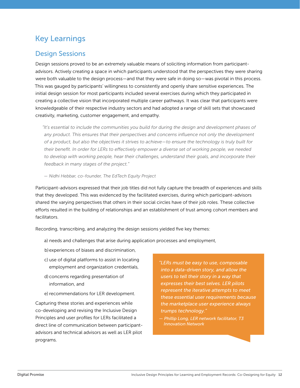# <span id="page-11-0"></span>Key Learnings

### Design Sessions

Design sessions proved to be an extremely valuable means of soliciting information from participantadvisors. Actively creating a space in which participants understood that the perspectives they were sharing were both valuable to the design process—and that they were safe in doing so—was pivotal in this process. This was gauged by participants' willingness to consistently and openly share sensitive experiences. The initial design session for most participants included several exercises during which they participated in creating a collective vision that incorporated multiple career pathways. It was clear that participants were knowledgeable of their respective industry sectors and had adopted a range of skill sets that showcased creativity, marketing, customer engagement, and empathy.

*"It's essential to include the communities you build for during the design and development phases of*  any product. This ensures that their perspectives and concerns influence not only the development *of a product, but also the objectives it strives to achieve—to ensure the technology is truly built for their benefit. In order for LERs to effectively empower a diverse set of working people, we needed to develop with working people, hear their challenges, understand their goals, and incorporate their feedback in many stages of the project."* 

#### *— Nidhi Hebbar, co-founder, The EdTech Equity Project*

Participant-advisors expressed that their job titles did not fully capture the breadth of experiences and skills that they developed. This was evidenced by the facilitated exercises, during which participant-advisors shared the varying perspectives that others in their social circles have of their job roles. These collective efforts resulted in the building of relationships and an establishment of trust among cohort members and facilitators.

Recording, transcribing, and analyzing the design sessions yielded five key themes:

- a) needs and challenges that arise during application processes and employment,
- b)experiences of biases and discrimination,
- c) use of digital platforms to assist in locating employment and organization credentials,
- d) concerns regarding presentation of information, and
- e) recommendations for LER development.

Capturing these stories and experiences while co-developing and revising the Inclusive Design Principles and user profiles for LERs facilitated a direct line of communication between participantadvisors and technical advisors as well as LER pilot programs.

*"LERs must be easy to use, composable into a data-driven story, and allow the users to tell their story in a way that expresses their best selves. LER pilots represent the iterative attempts to meet these essential user requirements because the marketplace user experience always trumps technology."* 

*— Phillip Long, LER network facilitator, T3 Innovation Network*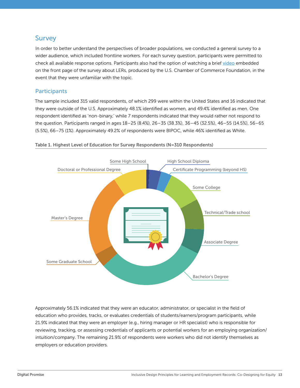### Survey

In order to better understand the perspectives of broader populations, we conducted a general survey to a wider audience, which included frontline workers. For each survey question, participants were permitted to check all available response options. Participants also had the option of watching a brief [video](https://www.youtube.com/watch?v=N_o3TKsyvkI&t=2s) embedded on the front page of the survey about LERs, produced by the U.S. Chamber of Commerce Foundation, in the event that they were unfamiliar with the topic.

### **Participants**

The sample included 315 valid respondents, of which 299 were within the United States and 16 indicated that they were outside of the U.S. Approximately 48.1% identified as women, and 49.4% identified as men. One respondent identified as 'non-binary,' while 7 respondents indicated that they would rather not respond to the question. Participants ranged in ages 18–25 (8.4%), 26–35 (38.3%), 36–45 (32.5%), 46–55 (14.5%), 56–65 (5.5%), 66–75 (1%). Approximately 49.2% of respondents were BIPOC, while 46% identified as White.



Table 1. Highest Level of Education for Survey Respondents (N=310 Respondents)

Approximately 56.1% indicated that they were an educator, administrator, or specialist in the field of education who provides, tracks, or evaluates credentials of students/earners/program participants, while 21.9% indicated that they were an employer (e.g., hiring manager or HR specialist) who is responsible for reviewing, tracking, or assessing credentials of applicants or potential workers for an employing organization/ intuition/company. The remaining 21.9% of respondents were workers who did not identify themselves as employers or education providers.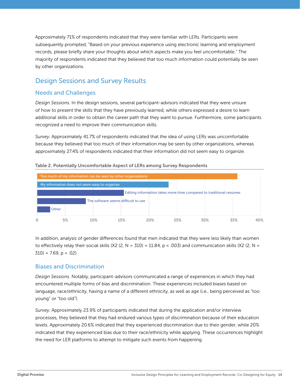Approximately 71% of respondents indicated that they were familiar with LERs. Participants were subsequently prompted, "Based on your previous experience using electronic learning and employment records, please briefly share your thoughts about which aspects make you feel uncomfortable." The majority of respondents indicated that they believed that too much information could potentially be seen by other organizations.

# Design Sessions and Survey Results

### Needs and Challenges

*Design Sessions.* In the design sessions, several participant-advisors indicated that they were unsure of how to present the skills that they have previously learned, while others expressed a desire to learn additional skills in order to obtain the career path that they want to pursue. Furthermore, some participants recognized a need to improve their communication skills.

*Survey.* Approximately 41.7% of respondents indicated that the idea of using LERs was uncomfortable because they believed that too much of their information may be seen by other organizations, whereas approximately 27.4% of respondents indicated that their information did not seem easy to organize.



In addition, analysis of gender differences found that men indicated that they were less likely than women to effectively relay their social skills  $(X2 (2, N = 310) = 11.84, p < .003)$  and communication skills  $(X2 (2, N =$  $310$ ) = 7.69, p < .02).

### Biases and Discrimination

*Design Sessions.* Notably, participant-advisors communicated a range of experiences in which they had encountered multiple forms of bias and discrimination. These experiences included biases based on language, race/ethnicity, having a name of a different ethnicity, as well as age (i.e., being perceived as "too young" or "too old").

*Survey.* Approximately 23.9% of participants indicated that during the application and/or interview processes, they believed that they had endured various types of discrimination because of their education levels. Approximately 20.6% indicated that they experienced discrimination due to their gender, while 20% indicated that they experienced bias due to their race/ethnicity while applying. These occurrences highlight the need for LER platforms to attempt to mitigate such events from happening.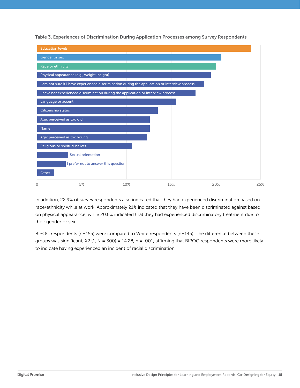Table 3. Experiences of Discrimination During Application Processes among Survey Respondents



In addition, 22.9% of survey respondents also indicated that they had experienced discrimination based on race/ethnicity while at work. Approximately 21% indicated that they have been discriminated against based on physical appearance, while 20.6% indicated that they had experienced discriminatory treatment due to their gender or sex.

BIPOC respondents (n=155) were compared to White respondents (n=145). The difference between these groups was significant,  $X2$  (1, N = 300) = 14.28, p = .001, affirming that BIPOC respondents were more likely to indicate having experienced an incident of racial discrimination.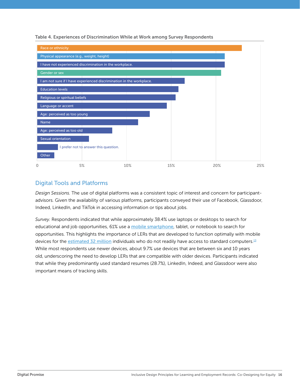<span id="page-15-0"></span>Table 4. Experiences of Discrimination While at Work among Survey Respondents



### Digital Tools and Platforms

*Design Sessions.* The use of digital platforms was a consistent topic of interest and concern for participantadvisors. Given the availability of various platforms, participants conveyed their use of Facebook, Glassdoor, Indeed, LinkedIn, and TikTok in accessing information or tips about jobs.

*Survey.* Respondents indicated that while approximately 38.4% use laptops or desktops to search for educational and job opportunities, 61% use a [mobile smartphone](https://www.pewresearch.org/internet/2015/04/01/chapter-two-usage-and-attitudes-toward-smartphones/#job%20seeking), tablet, or notebook to search for opportunities. This highlights the importance of LERs that are developed to function optimally with mobile devices for the [estimated 32 million](https://nces.ed.gov/pubs2018/2018161.pdf) individuals who do not readily have access to standard computers.<sup>[13](#page-36-0)</sup> While most respondents use newer devices, about 9.7% use devices that are between six and 10 years old, underscoring the need to develop LERs that are compatible with older devices. Participants indicated that while they predominantly used standard resumes (28.7%), LinkedIn, Indeed, and Glassdoor were also important means of tracking skills.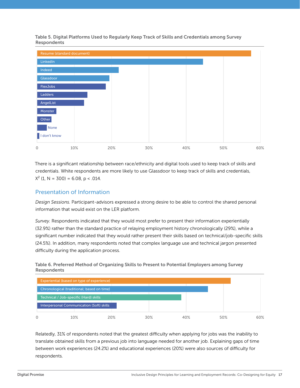

Table 5. Digital Platforms Used to Regularly Keep Track of Skills and Credentials among Survey Respondents

There is a significant relationship between race/ethnicity and digital tools used to keep track of skills and credentials. White respondents are more likely to use Glassdoor to keep track of skills and credentials,  $X^2$  (1, N = 300) = 6.08, p < .014.

### Presentation of Information

*Design Sessions.* Participant-advisors expressed a strong desire to be able to control the shared personal information that would exist on the LER platform.

*Survey.* Respondents indicated that they would most prefer to present their information experientially (32.9%) rather than the standard practice of relaying employment history chronologically (29%), while a significant number indicated that they would rather present their skills based on technical/job-specific skills (24.5%). In addition, many respondents noted that complex language use and technical jargon presented difficulty during the application process.





Relatedly, 31% of respondents noted that the greatest difficulty when applying for jobs was the inability to translate obtained skills from a previous job into language needed for another job. Explaining gaps of time between work experiences (24.2%) and educational experiences (20%) were also sources of difficulty for respondents.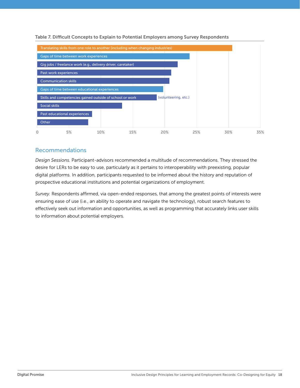

Table 7. Difficult Concepts to Explain to Potential Employers among Survey Respondents

### Recommendations

*Design Sessions.* Participant-advisors recommended a multitude of recommendations. They stressed the desire for LERs to be easy to use, particularly as it pertains to interoperability with preexisting, popular digital platforms. In addition, participants requested to be informed about the history and reputation of prospective educational institutions and potential organizations of employment.

*Survey.* Respondents affirmed, via open-ended responses, that among the greatest points of interests were ensuring ease of use (i.e., an ability to operate and navigate the technology), robust search features to effectively seek out information and opportunities, as well as programming that accurately links user skills to information about potential employers.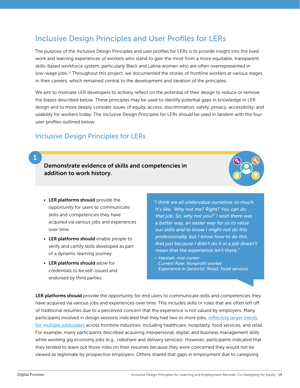# <span id="page-18-0"></span>Inclusive Design Principles and User Profiles for LERs

The purpose of the Inclusive Design Principles and user profiles for LERs is to provide insight into the lived work and learning experiences of workers who stand to gain the most from a more equitable, transparent, skills-based workforce system, particularly Black and Latina women who are often overrepresented in low-wage jobs.<sup>[14](#page-37-0)</sup> Throughout this project, we documented the stories of frontline workers at various stages in their careers, which remained central to the development and iteration of the principles.

We aim to motivate LER developers to actively reflect on the potential of their design to reduce or remove the biases described below. These principles may be used to identify potential gaps in knowledge in LER design and to more deeply consider issues of equity, access, discrimination, safety, privacy, accessibility, and usability for workers today. The Inclusive Design Principles for LERs should be used in tandem with the four user profiles outlined below.

### Inclusive Design Principles for LERs

### 1

Demonstrate evidence of skills and competencies in addition to work history.



- LER platforms should provide the opportunity for users to communicate skills and competencies they have acquired via various jobs and experiences over time.
- LER platforms should enable people to verify and certify skills developed as part of a dynamic learning journey.
- LER platforms should allow for credentials to be self-issued and endorsed by third parties.

*"I think we all undervalue ourselves so much. It's like, 'Why not me? Right? You can do that job. So, why not you?' I wish there was a better way, an easier way for us to value our skills and to know I might not do this professionally, but I know how to do this. And just because I didn't do it in a job doesn't mean that the experience isn't there."*

*— Hannah, mid-career Current Role: Nonprofit worker Experience in Sector(s): Retail, Food services*

LER platforms should provide the opportunity for end users to communicate skills and competencies they have acquired via various jobs and experiences over time. This includes skills or roles that are often left off of traditional resumes due to a perceived concern that the experience is not valued by employers. Many participants involved in design sessions indicated that they had two or more jobs, reflecting larger trends [for multiple jobholders](https://www.census.gov/library/stories/2021/02/new-way-to-measure-how-many-americans-work-more-than-one-job.html) across frontline industries, including healthcare, hospitality, food services, and retail. For example, many participants described acquiring interpersonal, digital, and business management skills while working gig economy jobs (e.g., rideshare and delivery services). However, participants indicated that they tended to leave out those roles on their resumes because they were concerned they would not be viewed as legitimate by prospective employers. Others shared that gaps in employment due to caregiving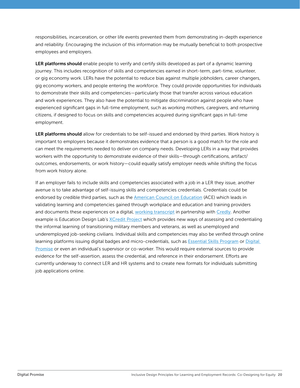responsibilities, incarceration, or other life events prevented them from demonstrating in-depth experience and reliability. Encouraging the inclusion of this information may be mutually beneficial to both prospective employees and employers.

LER platforms should enable people to verify and certify skills developed as part of a dynamic learning journey. This includes recognition of skills and competencies earned in short-term, part-time, volunteer, or gig economy work. LERs have the potential to reduce bias against multiple jobholders, career changers, gig economy workers, and people entering the workforce. They could provide opportunities for individuals to demonstrate their skills and competencies—particularly those that transfer across various education and work experiences. They also have the potential to mitigate discrimination against people who have experienced significant gaps in full-time employment, such as working mothers, caregivers, and returning citizens, if designed to focus on skills and competencies acquired during significant gaps in full-time employment.

LER platforms should allow for credentials to be self-issued and endorsed by third parties. Work history is important to employers because it demonstrates evidence that a person is a good match for the role and can meet the requirements needed to deliver on company needs. Developing LERs in a way that provides workers with the opportunity to demonstrate evidence of their skills—through certifications, artifact/ outcomes, endorsements, or work history—could equally satisfy employer needs while shifting the focus from work history alone.

If an employer fails to include skills and competencies associated with a job in a LER they issue, another avenue is to take advantage of self-issuing skills and competencies credentials. Credentials could be endorsed by credible third parties, such as the [American Council on Education](https://www.acenet.edu/Programs-Services/Pages/Credit-Transcripts/Credit-Transcripts.aspx) (ACE) which leads in validating learning and competencies gained through workplace and education and training providers and documents these experiences on a digital, [working transcript](https://www.acenet.edu/Programs-Services/Pages/Credit-Transcripts/Students.aspx) in partnership with [Credly](https://info.credly.com/). Another example is Education Design Lab's [XCredit Project](https://eddesignlab.org/project/xcredit/) which provides new ways of assessing and credentialing the informal learning of transitioning military members and veterans, as well as unemployed and underemployed job-seeking civilians. Individual skills and competencies may also be verified through online learning platforms issuing digital badges and micro-credentials, such as [Essential Skills Program](https://essential-skills.org/) or [Digital](https://digitalpromise.org/initiative/educator-micro-credentials/)  [Promise](https://digitalpromise.org/initiative/educator-micro-credentials/) or even an individual's supervisor or co-worker. This would require external sources to provide evidence for the self-assertion, assess the credential, and reference in their endorsement. Efforts are currently underway to connect LER and HR systems and to create new formats for individuals submitting job applications online.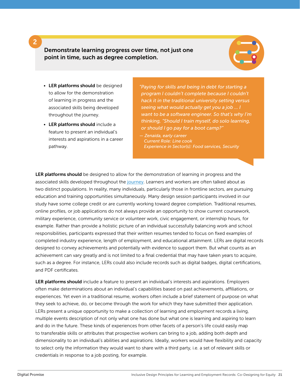Demonstrate learning progress over time, not just one point in time, such as degree completion.



- LER platforms should be designed to allow for the demonstration of learning in progress and the associated skills being developed throughout the journey.
- LER platforms should include a feature to present an individual's interests and aspirations in a career pathway.

*"Paying for skills and being in debt for starting a program I couldn't complete because I couldn't hack it in the traditional university setting versus seeing what would actually get you a job … I want to be a software engineer. So that's why I'm thinking, "Should I train myself, do solo learning, or should I go pay for a boot camp?"* 

*— Zenaida, early career Current Role: Line cook Experience in Sector(s): Food services, Security*

LER platforms should be designed to allow for the demonstration of learning in progress and the associated skills developed throughout the [journey](https://retailopportunitynetwork.org/wp-content/uploads/2021/05/RON-User-Journey-Timeline_FINAL.pdf). Learners and workers are often talked about as two distinct populations. In reality, many individuals, particularly those in frontline sectors, are pursuing education and training opportunities simultaneously. Many design session participants involved in our study have some college credit or are currently working toward degree completion. Traditional resumes, online profiles, or job applications do not always provide an opportunity to show current coursework, military experience, community service or volunteer work, civic engagement, or internship hours, for example. Rather than provide a holistic picture of an individual successfully balancing work and school responsibilities, participants expressed that their written resumes tended to focus on fixed examples of completed industry experience, length of employment, and educational attainment. LERs are digital records designed to convey achievements and potentially with evidence to support them. But what counts as an achievement can vary greatly and is not limited to a final credential that may have taken years to acquire, such as a degree. For instance, LERs could also include records such as digital badges, digital certifications, and PDF certificates.

LER platforms should include a feature to present an individual's interests and aspirations. Employers often make determinations about an individual's capabilities based on past achievements, affiliations, or experiences. Yet even in a traditional resume, workers often include a brief statement of purpose on what they seek to achieve, do, or become through the work for which they have submitted their application. LERs present a unique opportunity to make a collection of learning and employment records a living, multiple events description of not only what one has done but what one is learning and aspiring to learn and do in the future. These kinds of experiences from other facets of a person's life could easily map to transferable skills or attributes that prospective workers can bring to a job, adding both depth and dimensionality to an individual's abilities and aspirations. Ideally, workers would have flexibility and capacity to select only the information they would want to share with a third party, i.e. a set of relevant skills or credentials in response to a job posting, for example.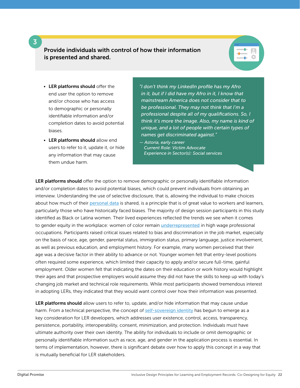Provide individuals with control of how their information is presented and shared.



- LER platforms should offer the end user the option to remove and/or choose who has access to demographic or personally identifiable information and/or completion dates to avoid potential biases.
- LER platforms should allow end users to refer to it, update it, or hide any information that may cause them undue harm.

*"I don't think my LinkedIn profile has my Afro in it, but if I did have my Afro in it, I know that mainstream America does not consider that to be professional. They may not think that I'm a professional despite all of my qualifications. So, I think it's more the image. Also, my name is kind of unique, and a lot of people with certain types of names get discriminated against."* 

*— Astoria, early career Current Role: Victim Advocate Experience in Sector(s): Social services*

LER platforms should offer the option to remove demographic or personally identifiable information and/or completion dates to avoid potential biases, which could prevent individuals from obtaining an interview. Understanding the use of selective disclosure, that is, allowing the individual to make choices about how much of their [personal data](https://en.wikipedia.org/wiki/Personal_data) is shared, is a principle that is of great value to workers and learners, particularly those who have historically faced biases. The majority of design session participants in this study identified as Black or Latina women. Their lived experiences reflected the trends we see when it comes to gender equity in the workplace: women of color remain [underrepresented](https://www.brookings.edu/essay/women-are-advancing-in-the-workplace-but-women-of-color-still-lag-behind/) in high wage professional occupations. Participants raised critical issues related to bias and discrimination in the job market, especially on the basis of race, age, gender, parental status, immigration status, primary language, justice involvement, as well as previous education, and employment history. For example, many women perceived that their age was a decisive factor in their ability to advance or not. Younger women felt that entry-level positions often required some experience, which limited their capacity to apply and/or secure full-time, gainful employment. Older women felt that indicating the dates on their education or work history would highlight their ages and that prospective employers would assume they did not have the skills to keep up with today's changing job market and technical role requirements. While most participants showed tremendous interest in adopting LERs, they indicated that they would want control over how their information was presented.

LER platforms should allow users to refer to, update, and/or hide information that may cause undue harm. From a technical perspective, the concept of [self-sovereign identity](https://en.wikipedia.org/wiki/Self-sovereign_identity#cite_note-4) has begun to emerge as a key consideration for LER developers, which addresses user existence, control, access, transparency, persistence, portability, interoperability, consent, minimization, and protection. Individuals must have ultimate authority over their own identity. The ability for individuals to include or omit demographic or personally identifiable information such as race, age, and gender in the application process is essential. In terms of implementation, however, there is significant debate over how to apply this concept in a way that is mutually beneficial for LER stakeholders.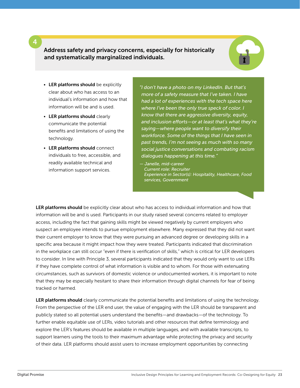Address safety and privacy concerns, especially for historically and systematically marginalized individuals.



- LER platforms should be explicitly clear about who has access to an individual's information and how that information will be and is used.
- LER platforms should clearly communicate the potential benefits and limitations of using the technology.
- LER platforms should connect individuals to free, accessible, and readily available technical and information support services.

*"I don't have a photo on my LinkedIn. But that's more of a safety measure that I've taken. I have had a lot of experiences with the tech space here where I've been the only true speck of color. I know that there are aggressive diversity, equity, and inclusion efforts—or at least that's what they're saying—where people want to diversify their workforce. Some of the things that I have seen in past trends, I'm not seeing as much with so many social justice conversations and combating racism dialogues happening at this time."*

*— Janelle, mid-career Current role: Recruiter Experience in Sector(s): Hospitality, Healthcare, Food services, Government*

LER platforms should be explicitly clear about who has access to individual information and how that information will be and is used. Participants in our study raised several concerns related to employer access, including the fact that gaining skills might be viewed negatively by current employers who suspect an employee intends to pursue employment elsewhere. Many expressed that they did not want their current employer to know that they were pursuing an advanced degree or developing skills in a specific area because it might impact how they were treated. Participants indicated that discrimination in the workplace can still occur "even if there is verification of skills," which is critical for LER developers to consider. In line with Principle 3, several participants indicated that they would only want to use LERs if they have complete control of what information is visible and to whom. For those with extenuating circumstances, such as survivors of domestic violence or undocumented workers, it is important to note that they may be especially hesitant to share their information through digital channels for fear of being tracked or harmed.

LER platforms should clearly communicate the potential benefits and limitations of using the technology. From the perspective of the LER end user, the value of engaging with the LER should be transparent and publicly stated so all potential users understand the benefits—and drawbacks—of the technology. To further enable equitable use of LERs, video tutorials and other resources that define terminology and explore the LER's features should be available in multiple languages, and with available transcripts, to support learners using the tools to their maximum advantage while protecting the privacy and security of their data. LER platforms should assist users to increase employment opportunities by connecting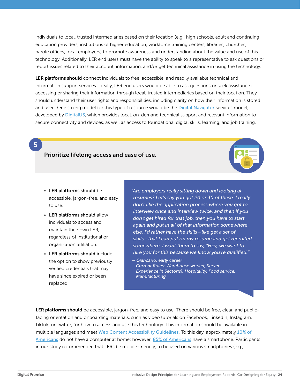individuals to local, trusted intermediaries based on their location (e.g., high schools, adult and continuing education providers, institutions of higher education, workforce training centers, libraries, churches, parole offices, local employers) to promote awareness and understanding about the value and use of this technology. Additionally, LER end users must have the ability to speak to a representative to ask questions or report issues related to their account, information, and/or get technical assistance in using the technology.

LER platforms should connect individuals to free, accessible, and readily available technical and information support services. Ideally, LER end users would be able to ask questions or seek assistance if accessing or sharing their information through local, trusted intermediaries based on their location. They should understand their user rights and responsibilities, including clarity on how their information is stored and used. One strong model for this type of resource would be the [Digital Navigator](https://digitalus.org/digital-navigators/) services model, developed by [DigitalUS](https://digitalus.org/), which provides local, on-demand technical support and relevant information to secure connectivity and devices, as well as access to foundational digital skills, learning, and job training.

### Prioritize lifelong access and ease of use.

- LER platforms should be accessible, jargon-free, and easy to use.
- LER platforms should allow individuals to access and maintain their own LER, regardless of institutional or organization affiliation.
- LER platforms should include the option to show previously verified credentials that may have since expired or been replaced.

*"Are employers really sitting down and looking at resumes? Let's say you got 20 or 30 of these. I really don't like the application process where you got to interview once and interview twice, and then if you don't get hired for that job, then you have to start again and put in all of that information somewhere else. I'd rather have the skills—like get a set of skills—that I can put on my resume and get recruited somewhere. I want them to say, "Hey, we want to hire you for this because we know you're qualified."* 

*— Giancarlo, early career Current Roles: Warehouse worker, Server Experience in Sector(s): Hospitality, Food service, Manufacturing*

LER platforms should be accessible, jargon-free, and easy to use. There should be free, clear, and publicfacing orientation and onboarding materials, such as video tutorials on Facebook, LinkedIn, Instagram, TikTok, or Twitter, for how to access and use this technology. This information should be available in multiple languages and meet [Web Content Accessibility Guidelines](https://www.w3.org/TR/WCAG21/). To this day, approximately [10% of](https://digitunity.org/)  [Americans](https://digitunity.org/) do not have a computer at home; however, [85% of Americans](https://www.pewresearch.org/internet/fact-sheet/mobile/) have a smartphone. Participants in our study recommended that LERs be mobile-friendly, to be used on various smartphones (e.g.,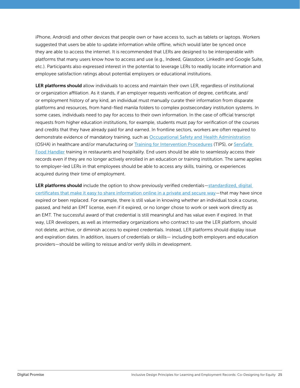iPhone, Android) and other devices that people own or have access to, such as tablets or laptops. Workers suggested that users be able to update information while offline, which would later be synced once they are able to access the internet. It is recommended that LERs are designed to be interoperable with platforms that many users know how to access and use (e.g., Indeed, Glassdoor, LinkedIn and Google Suite, etc.). Participants also expressed interest in the potential to leverage LERs to readily locate information and employee satisfaction ratings about potential employers or educational institutions.

LER platforms should allow individuals to access and maintain their own LER, regardless of institutional or organization affiliation. As it stands, if an employer requests verification of degree, certificate, and/ or employment history of any kind, an individual must manually curate their information from disparate platforms and resources, from hand-filed manila folders to complex postsecondary institution systems. In some cases, individuals need to pay for access to their own information. In the case of official transcript requests from higher education institutions, for example, students must pay for verification of the courses and credits that they have already paid for and earned. In frontline sectors, workers are often required to demonstrate evidence of mandatory training, such as [Occupational Safety and Health Administration](https://www.osha.gov/) (OSHA) in healthcare and/or manufacturing or [Training for Intervention Procedures](https://www.tipsalcohol.com/) (TIPS), or ServSafe [Food Handler](https://www.servsafe.com/ServSafe-Food-Handler) training in restaurants and hospitality. End users should be able to seamlessly access their records even if they are no longer actively enrolled in an education or training institution. The same applies to employer-led LERs in that employees should be able to access any skills, training, or experiences acquired during their time of employment.

LER platforms should include the option to show previously verified credentials-standardized, digital [certificates that make it easy to share information online in a private and secure way](https://trinsic.id/what-are-verifiable-credentials/)—that may have since expired or been replaced. For example, there is still value in knowing whether an individual took a course, passed, and held an EMT license, even if it expired, or no longer chose to work or seek work directly as an EMT. The successful award of that credential is still meaningful and has value even if expired. In that way, LER developers, as well as intermediary organizations who contract to use the LER platform, should not delete, archive, or diminish access to expired credentials. Instead, LER platforms should display issue and expiration dates. In addition, issuers of credentials or skills— including both employers and education providers—should be willing to reissue and/or verify skills in development.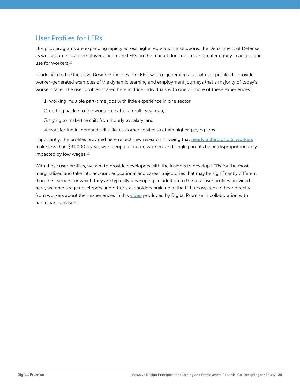# <span id="page-25-0"></span>User Profiles for LERs

LER pilot programs are expanding rapidly across higher education institutions, the Department of Defense, as well as large-scale employers, but more LERs on the market does not mean greater equity in access and use for workers.<sup>[15](#page-37-0)</sup>

In addition to the Inclusive Design Principles for LERs, we co-generated a set of user profiles to provide worker-generated examples of the dynamic learning and employment journeys that a majority of today's workers face. The user profiles shared here include individuals with one or more of these experiences:

- 1. working multiple part-time jobs with little experience in one sector,
- 2. getting back into the workforce after a multi-year gap,
- 3. trying to make the shift from hourly to salary, and
- 4. transferring in-demand skills like customer service to attain higher-paying jobs.

Importantly, the profiles provided here reflect new research showing that [nearly a third of U.S.workers](https://www.oxfamamerica.org/explore/research-publications/the-crisis-of-low-wages-in-the-us/) make less than \$31,000 a year, with people of color, women, and single parents being disproportionately impacted by low wages.<sup>[16](#page-37-0)</sup>

With these user profiles, we aim to provide developers with the insights to develop LERs for the most marginalized and take into account educational and career trajectories that may be significantly different than the learners for which they are typically developing. In addition to the four user profiles provided here, we encourage developers and other stakeholders building in the LER ecosystem to hear directly from workers about their experiences in this [video](https://www.youtube.com/watch?v=_nWjPj0Boic) produced by Digital Promise in collaboration with participant-advisors.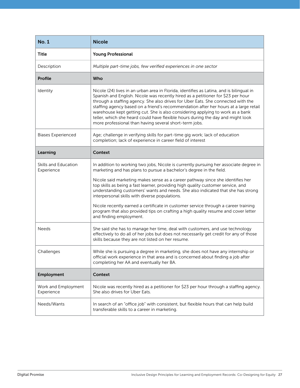| <b>No. 1</b>                       | <b>Nicole</b>                                                                                                                                                                                                                                                                                                                                                                                                                                                                                                                                                                           |
|------------------------------------|-----------------------------------------------------------------------------------------------------------------------------------------------------------------------------------------------------------------------------------------------------------------------------------------------------------------------------------------------------------------------------------------------------------------------------------------------------------------------------------------------------------------------------------------------------------------------------------------|
| <b>Title</b>                       | <b>Young Professional</b>                                                                                                                                                                                                                                                                                                                                                                                                                                                                                                                                                               |
| Description                        | Multiple part-time jobs, few verified experiences in one sector                                                                                                                                                                                                                                                                                                                                                                                                                                                                                                                         |
| Profile                            | Who                                                                                                                                                                                                                                                                                                                                                                                                                                                                                                                                                                                     |
| Identity                           | Nicole (24) lives in an urban area in Florida, identifies as Latina, and is bilingual in<br>Spanish and English. Nicole was recently hired as a petitioner for \$23 per hour<br>through a staffing agency. She also drives for Uber Eats. She connected with the<br>staffing agency based on a friend's recommendation after her hours at a large retail<br>warehouse kept getting cut. She is also considering applying to work as a bank<br>teller, which she heard could have flexible hours during the day and might look<br>more professional than having several short-term jobs. |
| <b>Biases Experienced</b>          | Age; challenge in verifying skills for part-time gig work; lack of education<br>completion; lack of experience in career field of interest                                                                                                                                                                                                                                                                                                                                                                                                                                              |
| Learning                           | <b>Context</b>                                                                                                                                                                                                                                                                                                                                                                                                                                                                                                                                                                          |
| Skills and Education<br>Experience | In addition to working two jobs, Nicole is currently pursuing her associate degree in<br>marketing and has plans to pursue a bachelor's degree in the field.                                                                                                                                                                                                                                                                                                                                                                                                                            |
|                                    | Nicole said marketing makes sense as a career pathway since she identifies her<br>top skills as being a fast learner, providing high quality customer service, and<br>understanding customers' wants and needs. She also indicated that she has strong<br>interpersonal skills with diverse populations.                                                                                                                                                                                                                                                                                |
|                                    | Nicole recently earned a certificate in customer service through a career training<br>program that also provided tips on crafting a high quality resume and cover letter<br>and finding employment.                                                                                                                                                                                                                                                                                                                                                                                     |
| <b>Needs</b>                       | She said she has to manage her time, deal with customers, and use technology<br>effectively to do all of her jobs but does not necessarily get credit for any of those<br>skills because they are not listed on her resume.                                                                                                                                                                                                                                                                                                                                                             |
| Challenges                         | While she is pursuing a degree in marketing, she does not have any internship or<br>official work experience in that area and is concerned about finding a job after<br>completing her AA and eventually her BA.                                                                                                                                                                                                                                                                                                                                                                        |
| Employment                         | <b>Context</b>                                                                                                                                                                                                                                                                                                                                                                                                                                                                                                                                                                          |
| Work and Employment<br>Experience  | Nicole was recently hired as a petitioner for \$23 per hour through a staffing agency.<br>She also drives for Uber Eats.                                                                                                                                                                                                                                                                                                                                                                                                                                                                |
| Needs/Wants                        | In search of an "office job" with consistent, but flexible hours that can help build<br>transferable skills to a career in marketing.                                                                                                                                                                                                                                                                                                                                                                                                                                                   |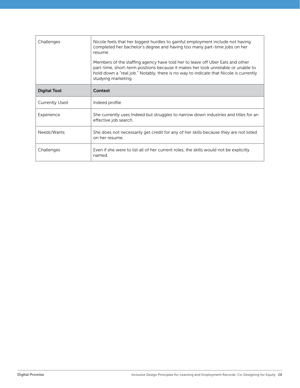| Challenges            | Nicole feels that her biggest hurdles to gainful employment include not having<br>completed her bachelor's degree and having too many part-time jobs on her<br>resume.<br>Members of the staffing agency have told her to leave off Uber Eats and other<br>part-time, short-term positions because it makes her look unreliable or unable to<br>hold down a "real job." Notably, there is no way to indicate that Nicole is currently<br>studying marketing. |
|-----------------------|--------------------------------------------------------------------------------------------------------------------------------------------------------------------------------------------------------------------------------------------------------------------------------------------------------------------------------------------------------------------------------------------------------------------------------------------------------------|
| <b>Digital Tool</b>   | Context                                                                                                                                                                                                                                                                                                                                                                                                                                                      |
| <b>Currently Used</b> | Indeed profile                                                                                                                                                                                                                                                                                                                                                                                                                                               |
| Experience            | She currently uses Indeed but struggles to narrow down industries and titles for an<br>effective job search.                                                                                                                                                                                                                                                                                                                                                 |
| Needs/Wants           | She does not necessarily get credit for any of her skills because they are not listed<br>on her resume.                                                                                                                                                                                                                                                                                                                                                      |
| Challenges            | Even if she were to list all of her current roles, the skills would not be explicitly<br>named.                                                                                                                                                                                                                                                                                                                                                              |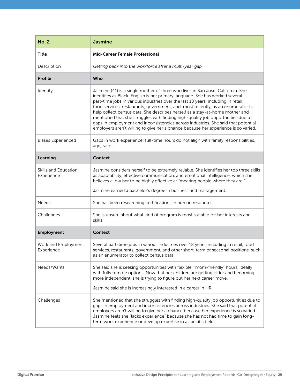| <b>No. 2</b>                       | <b>Jasmine</b>                                                                                                                                                                                                                                                                                                                                                                                                                                                                                                                                                                                                                                                                        |
|------------------------------------|---------------------------------------------------------------------------------------------------------------------------------------------------------------------------------------------------------------------------------------------------------------------------------------------------------------------------------------------------------------------------------------------------------------------------------------------------------------------------------------------------------------------------------------------------------------------------------------------------------------------------------------------------------------------------------------|
| Title                              | <b>Mid-Career Female Professional</b>                                                                                                                                                                                                                                                                                                                                                                                                                                                                                                                                                                                                                                                 |
| Description                        | Getting back into the workforce after a multi-year gap                                                                                                                                                                                                                                                                                                                                                                                                                                                                                                                                                                                                                                |
| Profile                            | Who                                                                                                                                                                                                                                                                                                                                                                                                                                                                                                                                                                                                                                                                                   |
| Identity                           | Jasmine (41) is a single mother of three who lives in San Jose, California. She<br>identifies as Black. English is her primary language. She has worked several<br>part-time jobs in various industries over the last 18 years, including in retail,<br>food services, restaurants, government, and, most recently, as an enumerator to<br>help collect census data. She describes herself as a stay-at-home mother and<br>mentioned that she struggles with finding high-quality job opportunities due to<br>gaps in employment and inconsistencies across industries. She said that potential<br>employers aren't willing to give her a chance because her experience is so varied. |
| <b>Biases Experienced</b>          | Gaps in work experience; full-time hours do not align with family responsibilities,<br>age, race.                                                                                                                                                                                                                                                                                                                                                                                                                                                                                                                                                                                     |
| Learning                           | Context                                                                                                                                                                                                                                                                                                                                                                                                                                                                                                                                                                                                                                                                               |
| Skills and Education<br>Experience | Jasmine considers herself to be extremely reliable. She identifies her top three skills<br>as adaptability, effective communication, and emotional intelligence, which she<br>believes allow her to be highly effective at "meeting people where they are."<br>Jasmine earned a bachelor's degree in business and management.                                                                                                                                                                                                                                                                                                                                                         |
|                                    |                                                                                                                                                                                                                                                                                                                                                                                                                                                                                                                                                                                                                                                                                       |
| <b>Needs</b>                       | She has been researching certifications in human resources.                                                                                                                                                                                                                                                                                                                                                                                                                                                                                                                                                                                                                           |
| Challenges                         | She is unsure about what kind of program is most suitable for her interests and<br>skills.                                                                                                                                                                                                                                                                                                                                                                                                                                                                                                                                                                                            |
| Employment                         | Context                                                                                                                                                                                                                                                                                                                                                                                                                                                                                                                                                                                                                                                                               |
| Work and Employment<br>Experience  | Several part-time jobs in various industries over 18 years, including in retail, food<br>services, restaurants, government, and other short-term or seasonal positions, such<br>as an enumerator to collect census data.                                                                                                                                                                                                                                                                                                                                                                                                                                                              |
| Needs/Wants                        | She said she is seeking opportunities with flexible, "mom-friendly" hours, ideally<br>with fully remote options. Now that her children are getting older and becoming<br>more independent, she is trying to figure out her next career move.<br>Jasmine said she is increasingly interested in a career in HR.                                                                                                                                                                                                                                                                                                                                                                        |
| Challenges                         | She mentioned that she struggles with finding high-quality job opportunities due to<br>gaps in employment and inconsistencies across industries. She said that potential<br>employers aren't willing to give her a chance because her experience is so varied.<br>Jasmine feels she "lacks experience" because she has not had time to gain long-<br>term work experience or develop expertise in a specific field.                                                                                                                                                                                                                                                                   |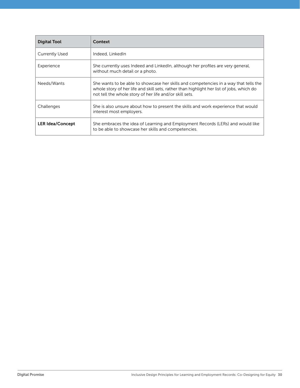| <b>Digital Tool</b>     | Context                                                                                                                                                                                                                                     |
|-------------------------|---------------------------------------------------------------------------------------------------------------------------------------------------------------------------------------------------------------------------------------------|
| <b>Currently Used</b>   | Indeed, LinkedIn                                                                                                                                                                                                                            |
| Experience              | She currently uses Indeed and LinkedIn, although her profiles are very general,<br>without much detail or a photo.                                                                                                                          |
| Needs/Wants             | She wants to be able to showcase her skills and competencies in a way that tells the<br>whole story of her life and skill sets, rather than highlight her list of jobs, which do<br>not tell the whole story of her life and/or skill sets. |
| Challenges              | She is also unsure about how to present the skills and work experience that would<br>interest most employers.                                                                                                                               |
| <b>LER Idea/Concept</b> | She embraces the idea of Learning and Employment Records (LERs) and would like<br>to be able to showcase her skills and competencies.                                                                                                       |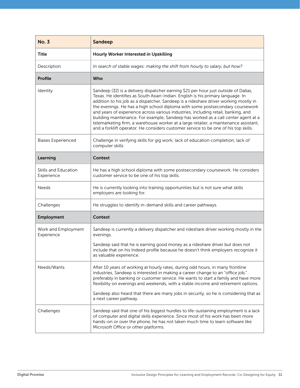| <b>No. 3</b>                       | <b>Sandeep</b>                                                                                                                                                                                                                                                                                                                                                                                                                                                                                                                                                                                                                                                                                           |
|------------------------------------|----------------------------------------------------------------------------------------------------------------------------------------------------------------------------------------------------------------------------------------------------------------------------------------------------------------------------------------------------------------------------------------------------------------------------------------------------------------------------------------------------------------------------------------------------------------------------------------------------------------------------------------------------------------------------------------------------------|
| Title                              | Hourly Worker Interested in Upskilling                                                                                                                                                                                                                                                                                                                                                                                                                                                                                                                                                                                                                                                                   |
| Description                        | In search of stable wages: making the shift from hourly to salary, but how?                                                                                                                                                                                                                                                                                                                                                                                                                                                                                                                                                                                                                              |
| Profile                            | Who                                                                                                                                                                                                                                                                                                                                                                                                                                                                                                                                                                                                                                                                                                      |
| Identity                           | Sandeep (32) is a delivery dispatcher earning \$21 per hour just outside of Dallas,<br>Texas. He identifies as South Asian-Indian. English is his primary language. In<br>addition to his job as a dispatcher, Sandeep is a rideshare driver working mostly in<br>the evenings. He has a high school diploma with some postsecondary coursework<br>and years of experience across various industries, including retail, banking, and<br>building maintenance. For example, Sandeep has worked as a call center agent at a<br>telemarketing firm, a warehouse worker at a large retailer, a maintenance assistant,<br>and a forklift operator. He considers customer service to be one of his top skills. |
| <b>Biases Experienced</b>          | Challenge in verifying skills for gig work; lack of education completion; lack of<br>computer skills                                                                                                                                                                                                                                                                                                                                                                                                                                                                                                                                                                                                     |
| Learning                           | <b>Context</b>                                                                                                                                                                                                                                                                                                                                                                                                                                                                                                                                                                                                                                                                                           |
| Skills and Education<br>Experience | He has a high school diploma with some postsecondary coursework. He considers<br>customer service to be one of his top skills.                                                                                                                                                                                                                                                                                                                                                                                                                                                                                                                                                                           |
| Needs                              | He is currently looking into training opportunities but is not sure what skills<br>employers are looking for.                                                                                                                                                                                                                                                                                                                                                                                                                                                                                                                                                                                            |
| Challenges                         | He struggles to identify in-demand skills and career pathways.                                                                                                                                                                                                                                                                                                                                                                                                                                                                                                                                                                                                                                           |
| Employment                         | <b>Context</b>                                                                                                                                                                                                                                                                                                                                                                                                                                                                                                                                                                                                                                                                                           |
| Work and Employment<br>Experience  | Sandeep is currently a delivery dispatcher and rideshare driver working mostly in the<br>evenings.                                                                                                                                                                                                                                                                                                                                                                                                                                                                                                                                                                                                       |
|                                    | Sandeep said that he is earning good money as a rideshare driver but does not<br>include that on his Indeed profile because he doesn't think employers recognize it<br>as valuable experience.                                                                                                                                                                                                                                                                                                                                                                                                                                                                                                           |
| Needs/Wants                        | After 10 years of working at hourly rates, during odd hours, in many frontline<br>industries, Sandeep is interested in making a career change to an "office job,"<br>preferably in banking or customer service. He wants to start a family and have more<br>flexibility on evenings and weekends, with a stable income and retirement options.<br>Sandeep also heard that there are many jobs in security, so he is considering that as<br>a next career pathway.                                                                                                                                                                                                                                        |
| Challenges                         | Sandeep said that one of his biggest hurdles to life-sustaining employment is a lack<br>of computer and digital skills experience. Since most of his work has been more<br>hands-on or over the phone, he has not taken much time to learn software like<br>Microsoft Office or other platforms.                                                                                                                                                                                                                                                                                                                                                                                                         |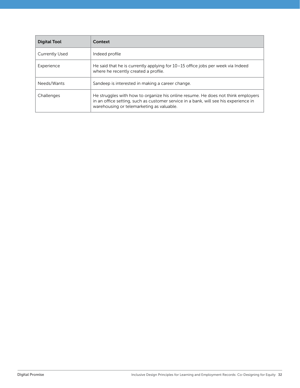| Digital Tool          | Context                                                                                                                                                                                                               |
|-----------------------|-----------------------------------------------------------------------------------------------------------------------------------------------------------------------------------------------------------------------|
| <b>Currently Used</b> | Indeed profile                                                                                                                                                                                                        |
| Experience            | He said that he is currently applying for 10-15 office jobs per week via Indeed<br>where he recently created a profile.                                                                                               |
| Needs/Wants           | Sandeep is interested in making a career change.                                                                                                                                                                      |
| Challenges            | He struggles with how to organize his online resume. He does not think employers<br>in an office setting, such as customer service in a bank, will see his experience in<br>warehousing or telemarketing as valuable. |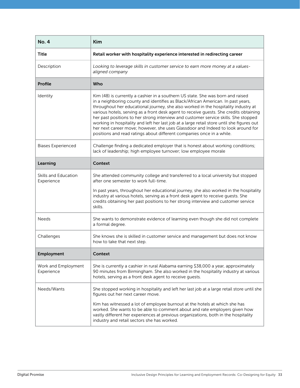| <b>No. 4</b>                       | <b>Kim</b>                                                                                                                                                                                                                                                                                                                                                                                                                                                                                                                                                                                                                                                                                           |
|------------------------------------|------------------------------------------------------------------------------------------------------------------------------------------------------------------------------------------------------------------------------------------------------------------------------------------------------------------------------------------------------------------------------------------------------------------------------------------------------------------------------------------------------------------------------------------------------------------------------------------------------------------------------------------------------------------------------------------------------|
| <b>Title</b>                       | Retail worker with hospitality experience interested in redirecting career                                                                                                                                                                                                                                                                                                                                                                                                                                                                                                                                                                                                                           |
| Description                        | Looking to leverage skills in customer service to earn more money at a values-<br>aligned company                                                                                                                                                                                                                                                                                                                                                                                                                                                                                                                                                                                                    |
| Profile                            | Who                                                                                                                                                                                                                                                                                                                                                                                                                                                                                                                                                                                                                                                                                                  |
| Identity                           | Kim (48) is currently a cashier in a southern US state. She was born and raised<br>in a neighboring county and identifies as Black/African American. In past years,<br>throughout her educational journey, she also worked in the hospitality industry at<br>various hotels, serving as a front desk agent to receive guests. She credits obtaining<br>her past positions to her strong interview and customer service skills. She stopped<br>working in hospitality and left her last job at a large retail store until she figures out<br>her next career move; however, she uses Glassdoor and Indeed to look around for<br>positions and read ratings about different companies once in a while. |
| <b>Biases Experienced</b>          | Challenge finding a dedicated employer that is honest about working conditions;<br>lack of leadership; high employee turnover; low employee morale                                                                                                                                                                                                                                                                                                                                                                                                                                                                                                                                                   |
| Learning                           | <b>Context</b>                                                                                                                                                                                                                                                                                                                                                                                                                                                                                                                                                                                                                                                                                       |
| Skills and Education<br>Experience | She attended community college and transferred to a local university but stopped<br>after one semester to work full-time.                                                                                                                                                                                                                                                                                                                                                                                                                                                                                                                                                                            |
|                                    | In past years, throughout her educational journey, she also worked in the hospitality<br>industry at various hotels, serving as a front desk agent to receive guests. She<br>credits obtaining her past positions to her strong interview and customer service<br>skills.                                                                                                                                                                                                                                                                                                                                                                                                                            |
| <b>Needs</b>                       | She wants to demonstrate evidence of learning even though she did not complete<br>a formal degree.                                                                                                                                                                                                                                                                                                                                                                                                                                                                                                                                                                                                   |
| Challenges                         | She knows she is skilled in customer service and management but does not know<br>how to take that next step.                                                                                                                                                                                                                                                                                                                                                                                                                                                                                                                                                                                         |
| <b>Employment</b>                  | Context                                                                                                                                                                                                                                                                                                                                                                                                                                                                                                                                                                                                                                                                                              |
| Work and Employment<br>Experience  | She is currently a cashier in rural Alabama earning \$38,000 a year, approximately<br>90 minutes from Birmingham. She also worked in the hospitality industry at various<br>hotels, serving as a front desk agent to receive guests.                                                                                                                                                                                                                                                                                                                                                                                                                                                                 |
| Needs/Wants                        | She stopped working in hospitality and left her last job at a large retail store until she<br>figures out her next career move.                                                                                                                                                                                                                                                                                                                                                                                                                                                                                                                                                                      |
|                                    | Kim has witnessed a lot of employee burnout at the hotels at which she has<br>worked. She wants to be able to comment about and rate employers given how<br>vastly different her experiences at previous organizations, both in the hospitality<br>industry and retail sectors she has worked.                                                                                                                                                                                                                                                                                                                                                                                                       |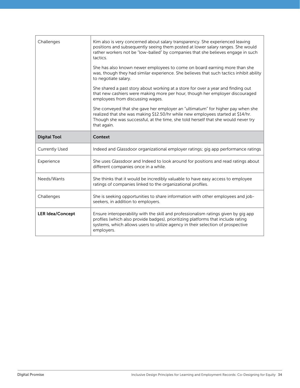| Challenges              | Kim also is very concerned about salary transparency. She experienced leaving<br>positions and subsequently seeing them posted at lower salary ranges. She would<br>rather workers not be "low-balled" by companies that she believes engage in such<br>tactics.         |
|-------------------------|--------------------------------------------------------------------------------------------------------------------------------------------------------------------------------------------------------------------------------------------------------------------------|
|                         | She has also known newer employees to come on board earning more than she<br>was, though they had similar experience. She believes that such tactics inhibit ability<br>to negotiate salary.                                                                             |
|                         | She shared a past story about working at a store for over a year and finding out<br>that new cashiers were making more per hour, though her employer discouraged<br>employees from discussing wages.                                                                     |
|                         | She conveyed that she gave her employer an "ultimatum" for higher pay when she<br>realized that she was making \$12.50/hr while new employees started at \$14/hr.<br>Though she was successful, at the time, she told herself that she would never try<br>that again.    |
| <b>Digital Tool</b>     | Context                                                                                                                                                                                                                                                                  |
| <b>Currently Used</b>   | Indeed and Glassdoor organizational employer ratings; gig app performance ratings                                                                                                                                                                                        |
| Experience              | She uses Glassdoor and Indeed to look around for positions and read ratings about<br>different companies once in a while.                                                                                                                                                |
| Needs/Wants             | She thinks that it would be incredibly valuable to have easy access to employee<br>ratings of companies linked to the organizational profiles.                                                                                                                           |
| Challenges              | She is seeking opportunities to share information with other employees and job-<br>seekers, in addition to employers.                                                                                                                                                    |
| <b>LER Idea/Concept</b> | Ensure interoperability with the skill and professionalism ratings given by gig app<br>profiles (which also provide badges), prioritizing platforms that include rating<br>systems, which allows users to utilize agency in their selection of prospective<br>employers. |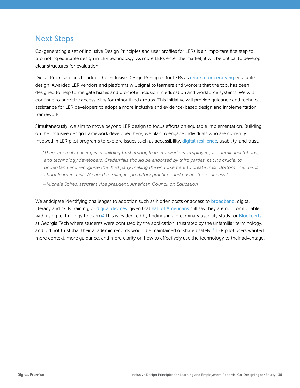# <span id="page-34-0"></span>Next Steps

Co-generating a set of Inclusive Design Principles and user profiles for LERs is an important first step to promoting equitable design in LER technology. As more LERs enter the market, it will be critical to develop clear structures for evaluation.

Digital Promise plans to adopt the Inclusive Design Principles for LERs as [criteria for certifying](https://digitalpromise.org/wp-content/uploads/2022/04/Digital-Promise_Gates-Foundation-LER-Announcement-4.11.22.pdf) equitable design. Awarded LER vendors and platforms will signal to learners and workers that the tool has been designed to help to mitigate biases and promote inclusion in education and workforce systems. We will continue to prioritize accessibility for minoritized groups. This initiative will provide guidance and technical assistance for LER developers to adopt a more inclusive and evidence-based design and implementation framework.

Simultaneously, we aim to move beyond LER design to focus efforts on equitable implementation. Building on the inclusive design framework developed here, we plan to engage individuals who are currently involved in LER pilot programs to explore issues such as accessibility, [digital resilience](https://edtech.worlded.org/our-work/draw/), usability, and trust.

*"There are real challenges in building trust among learners, workers, employers, academic institutions, and technology developers. Credentials should be endorsed by third parties, but it's crucial to*  understand and recognize the third party making the endorsement to create trust. Bottom line, this is *about learners first. We need to mitigate predatory practices and ensure their success."* 

*—Michele Spires, assistant vice president, American Council on Education*

We anticipate identifying challenges to adoption such as hidden costs or access to **[broadband](https://www.everyoneon.org/)**, digital literacy and skills training, or [digital devices](https://digitunity.org/), given that [half of Americans](https://digitalus.org/) still say they are not comfortable with using technology to learn.<sup>[17](#page-37-0)</sup> This is evidenced by findings in a preliminary usability study for **[Blockcerts](https://www.c21u.gatech.edu/blog/understanding-student-experience-blockcerts-blockchain-powered-academic-credentials-through)** at Georgia Tech where students were confused by the application, frustrated by the unfamiliar terminology, and did not trust that their academic records would be maintained or shared safely.<sup>[18](#page-37-0)</sup> LER pilot users wanted more context, more guidance, and more clarity on how to effectively use the technology to their advantage.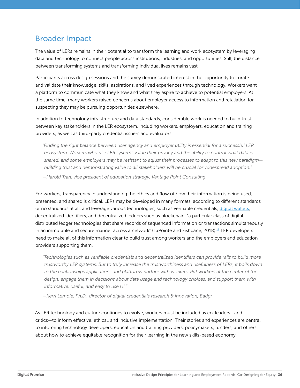# <span id="page-35-0"></span>Broader Impact

The value of LERs remains in their potential to transform the learning and work ecosystem by leveraging data and technology to connect people across institutions, industries, and opportunities. Still, the distance between transforming systems and transforming individual lives remains vast.

Participants across design sessions and the survey demonstrated interest in the opportunity to curate and validate their knowledge, skills, aspirations, and lived experiences through technology. Workers want a platform to communicate what they know and what they aspire to achieve to potential employers. At the same time, many workers raised concerns about employer access to information and retaliation for suspecting they may be pursuing opportunities elsewhere.

In addition to technology infrastructure and data standards, considerable work is needed to build trust between key stakeholders in the LER ecosystem, including workers, employers, education and training providers, as well as third-party credential issuers and evaluators.

*"Finding the right balance between user agency and employer utility is essential for a successful LER*  ecosystem. Workers who use LER systems value their privacy and the ability to control what data is *shared, and some employers may be resistant to adjust their processes to adapt to this new paradigm building trust and demonstrating value to all stakeholders will be crucial for widespread adoption."*

*—Harold Tran, vice president of education strategy, Vantage Point Consulting*

For workers, transparency in understanding the ethics and flow of how their information is being used, presented, and shared is critical. LERs may be developed in many formats, according to different standards or no standards at all, and leverage various technologies, such as verifiable credentials, [digital wallets](https://info.jff.org/hubfs/Digital%20Wallet%20Market%20Scan/Market-Scan-Digital-Wallet-040122-vF.pdf?hsCtaTracking=0f76ec2a-e3f0-4475-9c19-98a6bf797491%7Cf5a9c8e1-96bc-4975-8222-1a9287004ef6), decentralized identifiers, and decentralized ledgers such as blockchain, "a particular class of digital distributed ledger technologies that share records of sequenced information or transactions simultaneously in an immutable and secure manner across a network" (LaPointe and Fishbane, 2018).[19](#page-37-0) LER developers need to make all of this information clear to build trust among workers and the employers and education providers supporting them.

*"Technologies such as verifiable credentials and decentralized identifiers can provide rails to build more trustworthy LER systems. But to truly increase the trustworthiness and usefulness of LERs, it boils down*  to the relationships applications and platforms nurture with workers. Put workers at the center of the *design, engage them in decisions about data usage and technology choices, and support them with informative, useful, and easy to use UI."* 

*—Kerri Lemoie, Ph.D., director of digital credentials research & innovation, Badgr*

As LER technology and culture continues to evolve, workers must be included as co-leaders—and critics—to inform effective, ethical, and inclusive implementation. Their stories and experiences are central to informing technology developers, education and training providers, policymakers, funders, and others about how to achieve equitable recognition for their learning in the new skills-based economy.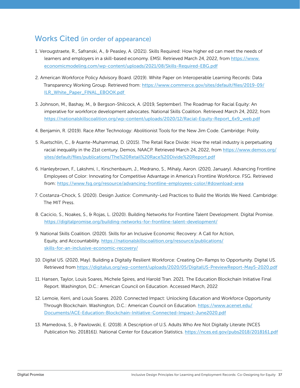# <span id="page-36-0"></span>Works Cited (in order of appearance)

- [1](#page-4-0). Verougstraete, R., Safranski, A., & Peasley, A. (2021). Skills Required: How higher ed can meet the needs of learners and employers in a skill-based economy. EMSI. Retrieved March 24, 2022, from [https://www.](https://www.economicmodeling.com/wp-content/uploads/2021/08/Skills-Required-EBG.pdf) [economicmodeling.com/wp-content/uploads/2021/08/Skills-Required-EBG.pdf](https://www.economicmodeling.com/wp-content/uploads/2021/08/Skills-Required-EBG.pdf)
- [2](#page-4-0). American Workforce Policy Advisory Board. (2019). White Paper on Interoperable Learning Records: Data Transparency Working Group. Retrieved from: [https://www.commerce.gov/sites/default/files/2019-09/](https://www.commerce.gov/sites/default/files/2019-09/ILR_White_Paper_FINAL_EBOOK.pdf ) [ILR\\_White\\_Paper\\_FINAL\\_EBOOK.pdf](https://www.commerce.gov/sites/default/files/2019-09/ILR_White_Paper_FINAL_EBOOK.pdf )
- [3.](#page-4-0) Johnson, M., Bashay, M., & Bergson-Shilcock, A. (2019, September). The Roadmap for Racial Equity: An imperative for workforce development advocates. National Skills Coalition. Retrieved March 24, 2022, from [https://nationalskillscoalition.org/wp-content/uploads/2020/12/Racial-Equity-Report\\_6x9\\_web.pdf](https://nationalskillscoalition.org/wp-content/uploads/2020/12/Racial-Equity-Report_6x9_web.pdf)
- [4.](#page-4-0) Benjamin, R. (2019). Race After Technology: Abolitionist Tools for the New Jim Code. Cambridge: Polity.
- [5](#page-4-0). Ruetschlin, C., & Asante-Muhammad, D. (2015). The Retail Race Divide: How the retail industry is perpetuating racial inequality in the 21st century. Demos, NAACP. Retrieved March 24, 2022, from [https://www.demos.org/](https://www.demos.org/sites/default/files/publications/The%20Retail%20Race%20Divide%20Report.pdf) [sites/default/files/publications/The%20Retail%20Race%20Divide%20Report.pdf](https://www.demos.org/sites/default/files/publications/The%20Retail%20Race%20Divide%20Report.pdf)
- [6.](#page-4-0) Hanleybrown, F., Lakshmi, I., Kirschenbaum, J., Medrano, S., Mihaly, Aaron. (2020, January). Advancing Frontline Employees of Color: Innovating for Competitive Advantage in America's Frontline Workforce. FSG. Retrieved from: <https://www.fsg.org/resource/advancing-frontline-employees-color/#download-area>
- [7.](#page-4-0) Costanza-Chock, S. (2020). Design Justice: Community-Led Practices to Build the Worlds We Need. Cambridge: The MIT Press.
- [8.](#page-5-0) Cacicio, S., Noakes, S., & Rojas, L. (2020). Building Networks for Frontline Talent Development. Digital Promise. <https://digitalpromise.org/building-networks-for-frontline-talent-development/>
- [9](#page-9-0). National Skills Coalition. (2020). Skills for an Inclusive Economic Recovery: A Call for Action, Equity, and Accountability. https://nationalskillscoalition.org/resource/publications/ skills-for-an-inclusive-economic-recovery/
- [10.](#page-9-0) Digital US. (2020, May). Building a Digitally Resilient Workforce: Creating On-Ramps to Opportunity. Digital US. Retrieved from <https://digitalus.org/wp-content/uploads/2020/05/DigitalUS-PreviewReport-May5-2020.pdf>
- [11.](#page-10-0) Hansen, Taylor, Louis Soares, Michele Spires, and Harold Tran. 2021. The Education Blockchain Initiative Final Report. Washington, D.C.: American Council on Education. Accessed March, 2022
- [12](#page-10-0). Lemoie, Kerri, and Louis Soares. 2020. Connected Impact: Unlocking Education and Workforce Opportunity Through Blockchain. Washington, D.C.: American Council on Education. [https://www.acenet.edu/](https://www.acenet.edu/Documents/ACE-Education-Blockchain-Initiative-Connected-Impact-June2020.pdf) [Documents/ACE-Education-Blockchain-Initiative-Connected-Impact-June2020.pdf](https://www.acenet.edu/Documents/ACE-Education-Blockchain-Initiative-Connected-Impact-June2020.pdf)
- [13](#page-15-0). Mamedova, S., & Pawlowski, E. (2018). A Description of U.S. Adults Who Are Not Digitally Literate (NCES Publication No. 2018161). National Center for Education Statistics. <https://nces.ed.gov/pubs2018/2018161.pdf>